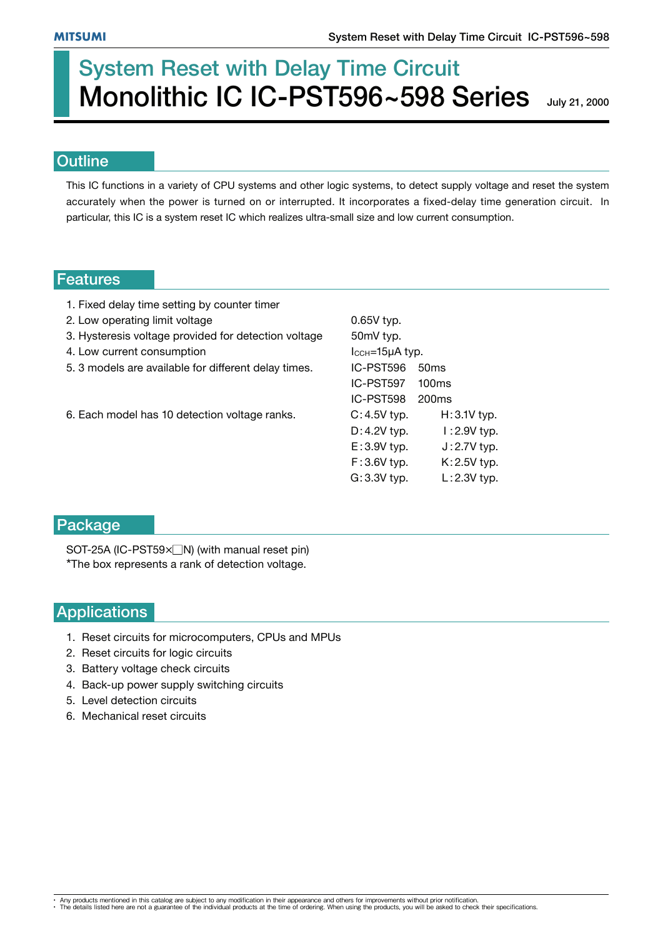# System Reset with Delay Time Circuit Monolithic IC IC-PST596~598 Series

July 21, 2000

#### **Outline**

This IC functions in a variety of CPU systems and other logic systems, to detect supply voltage and reset the system accurately when the power is turned on or interrupted. It incorporates a fixed-delay time generation circuit. In particular, this IC is a system reset IC which realizes ultra-small size and low current consumption.

#### Features

- 1. Fixed delay time setting by counter timer
- 2. Low operating limit voltage 0.65V typ.
- 3. Hysteresis voltage provided for detection voltage 50mV typ.
- 4. Low current consumption **ICCH** ICCH=15µA typ.
- 5. 3 models are available for different delay times. IC-PST596 50ms
- 6. Each model has 10 detection voltage ranks. C: 4.5V typ. H: 3.1V typ.

 IC-PST597 100ms IC-PST598 200ms D: 4.2V typ. I: 2.9V typ.  $E: 3.9V$  typ.  $J: 2.7V$  typ. F : 3.6V typ. K : 2.5V typ. G: 3.3V typ. L: 2.3V typ.

#### Package

SOT-25A (IC-PST59 $\times$  N) (with manual reset pin) \*The box represents a rank of detection voltage.

### Applications

- 1. Reset circuits for microcomputers, CPUs and MPUs
- 2. Reset circuits for logic circuits
- 3. Battery voltage check circuits
- 4. Back-up power supply switching circuits
- 5. Level detection circuits
- 6. Mechanical reset circuits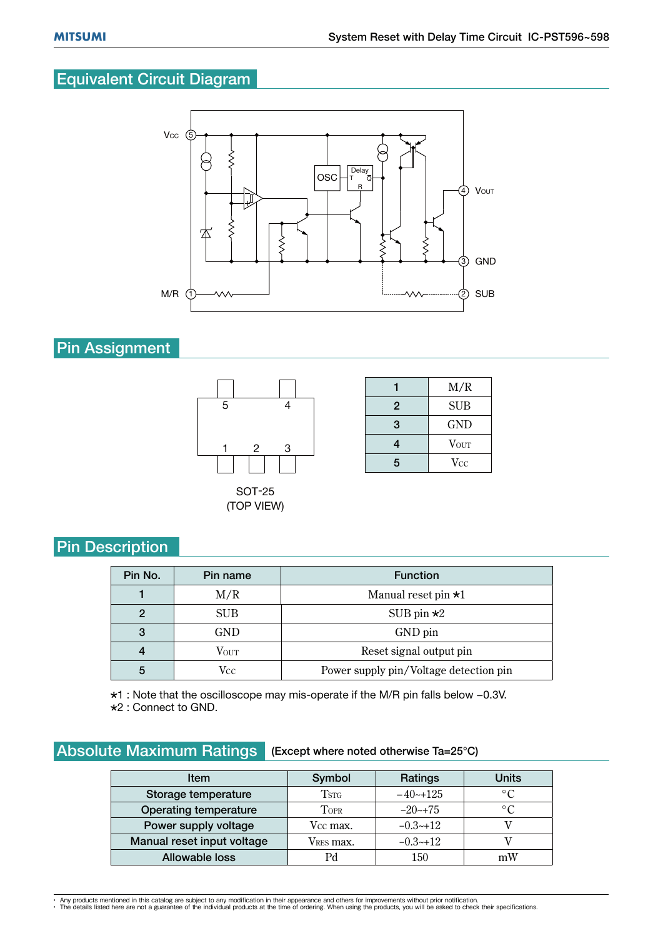## Equivalent Circuit Diagram



## Pin Assignment



|                | M/R                     |
|----------------|-------------------------|
| $\overline{2}$ | <b>SUB</b>              |
| 3              | <b>GND</b>              |
| 4              | <b>V</b> <sub>OUT</sub> |
| 5              | Vcc                     |

## **Pin Description**

| Pin No. | Pin name      | <b>Function</b>                        |  |  |
|---------|---------------|----------------------------------------|--|--|
|         | M/R           | Manual reset pin $\star 1$             |  |  |
|         | <b>SUB</b>    | SUB pin $\star 2$                      |  |  |
| 3       | GND           | GND pin                                |  |  |
|         | $V_{\rm OUT}$ | Reset signal output pin                |  |  |
| 5       | Vcc           | Power supply pin/Voltage detection pin |  |  |

\*1 : Note that the oscilloscope may mis-operate if the M/R pin falls below -0.3V. 2 : Connect to GND.

## Absolute Maximum Ratings (Except where noted otherwise Ta=25°C)

| <b>Item</b>                  | Symbol                | Ratings    | <b>Units</b>   |  |
|------------------------------|-----------------------|------------|----------------|--|
| Storage temperature          | $\operatorname{Tsrc}$ | $-40+125$  | $\circ$ C      |  |
| <b>Operating temperature</b> | TOPR                  | $-20$ ~+75 | $\circ$ $\cap$ |  |
| Power supply voltage         | Vcc max.              | $-0.3-12$  |                |  |
| Manual reset input voltage   | V <sub>RES</sub> max. | $-0.3-12$  |                |  |
| Allowable loss               |                       | 150        | mW             |  |

<sup>•</sup> Any products mentioned in this catalog are subject to any modification in their appearance and others for improvements without prior notification.<br>• The details listed here are not a guarantee of the individual products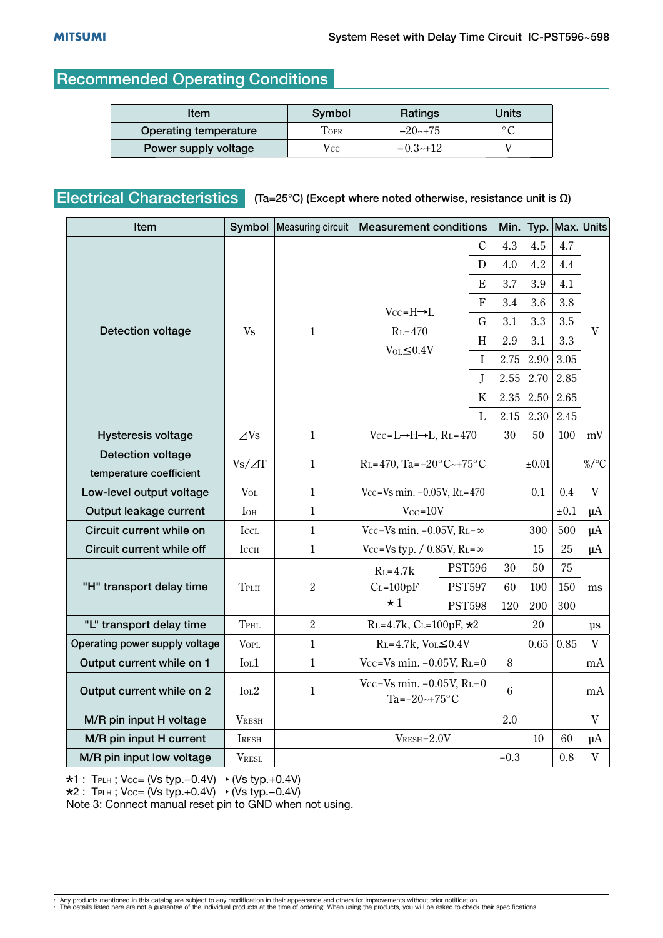## Recommended Operating Conditions

| Item                  | Symbol       | Ratings      | Units |  |
|-----------------------|--------------|--------------|-------|--|
| Operating temperature | $\Gamma$ OPR | $-20$ $-175$ |       |  |
| Power supply voltage  | $V_{CC}$     | $-0.3-12$    |       |  |

## Electrical Characteristics  $(Ta=25^\circ C)$  (Except where noted otherwise, resistance unit is  $\Omega$ )

| <b>Item</b>                    | Symbol        | Measuring circuit | <b>Measurement conditions</b>                                         |                | Min.      | Typ.  |           | Max. Units   |
|--------------------------------|---------------|-------------------|-----------------------------------------------------------------------|----------------|-----------|-------|-----------|--------------|
| <b>Detection voltage</b>       | Vs            | $\mathbf{1}$      |                                                                       | $\overline{C}$ | 4.3       | 4.5   | 4.7       |              |
|                                |               |                   |                                                                       | D              | 4.0       | 4.2   | 4.4       |              |
|                                |               |                   | $V_{CC} = H \rightarrow L$<br>$RL=470$<br>$\text{Vol}\leq0.4\text{V}$ | E              | 3.7       | 3.9   | 4.1       | $\mathbf{V}$ |
|                                |               |                   |                                                                       | F              | 3.4       | 3.6   | 3.8       |              |
|                                |               |                   |                                                                       | G              | 3.1       | 3.3   | 3.5       |              |
|                                |               |                   |                                                                       | H              | 2.9       | 3.1   | 3.3       |              |
|                                |               |                   |                                                                       | $\mathbf I$    | 2.75      | 2.90  | 3.05      |              |
|                                |               |                   |                                                                       | J              | 2.55      | 2.70  | 2.85      |              |
|                                |               |                   |                                                                       | $\rm K$        | 2.35      | 2.50  | 2.65      |              |
|                                |               |                   |                                                                       | L              | 2.15      | 2.30  | 2.45      |              |
| <b>Hysteresis voltage</b>      | $\angle$ Ns   | $\mathbf{1}$      | $V_{CC} = L \rightarrow H \rightarrow L$ , $R_L = 470$                |                | 30        | 50    | 100       | mV           |
| <b>Detection voltage</b>       | $Vs/\Delta T$ | $\mathbf{1}$      | $R_L = 470$ , Ta= $-20$ °C~+75°C                                      |                |           | ±0.01 |           | $\%$ /°C     |
| temperature coefficient        |               |                   |                                                                       |                |           |       |           |              |
| Low-level output voltage       | $V_{OL}$      | $\mathbf{1}$      | $V_{CC}$ =Vs min. -0.05V, R <sub>L</sub> =470                         |                |           | 0.1   | 0.4       | V            |
| Output leakage current         | <b>I</b> OH   | $\mathbf{1}$      | $Vcc = 10V$                                                           |                |           |       | $\pm 0.1$ | $\mu A$      |
| Circuit current while on       | <b>ICCL</b>   | $\mathbf{1}$      | Vcc=Vs min. $-0.05V$ , R <sub>L</sub> = $\infty$                      |                |           | 300   | 500       | $\mu A$      |
| Circuit current while off      | <b>I</b> CCH  | $\mathbf{1}$      | $V_{CC}$ =Vs typ. / 0.85V, R <sub>L</sub> = $\infty$                  |                |           | 15    | 25        | $\mu A$      |
| "H" transport delay time       | TPLH          | $\overline{2}$    | $RL=4.7k$                                                             | <b>PST596</b>  | 30        | 50    | 75        |              |
|                                |               |                   | $C_{L=100pF}$                                                         | <b>PST597</b>  | 60<br>100 | 150   | ms        |              |
|                                |               |                   | $\star 1$                                                             | <b>PST598</b>  | 120       | 200   | 300       |              |
| "L" transport delay time       | TPHL          | $\boldsymbol{2}$  | $R_{L} = 4.7k$ , $C_{L} = 100pF$ , $\star 2$                          |                |           | 20    |           | $\mu$ s      |
| Operating power supply voltage | <b>VOPL</b>   | $\mathbf{1}$      | $R_L = 4.7k$ , $V_{OL} \leq 0.4V$                                     |                |           | 0.65  | 0.85      | $\mathbf{V}$ |
| Output current while on 1      | IoL1          | $\mathbf{1}$      | $V_{CC} = V_s \min. -0.05 V, R_L = 0$                                 |                | 8         |       |           | mA           |
| Output current while on 2      | IoL2          | $\mathbf{1}$      | $V_{CC}$ =Vs min. -0.05V, RL=0<br>Ta= $-20$ ~+75°C                    |                | 6         |       |           | mA           |
| M/R pin input H voltage        | <b>VRESH</b>  |                   |                                                                       |                | 2.0       |       |           | $\mathbf V$  |
| M/R pin input H current        | <b>IRESH</b>  |                   | $V_{RESH} = 2.0 V$                                                    |                |           | 10    | 60        | $\mu A$      |
| M/R pin input low voltage      | <b>VRESL</b>  |                   |                                                                       |                | $-0.3$    |       | 0.8       | $\mathbf V$  |

 $*1$  : TPLH ; Vcc= (Vs typ.-0.4V)  $\rightarrow$  (Vs typ.+0.4V)

 $\star$ 2 : TPLH ; Vcc= (Vs typ.+0.4V)  $\rightarrow$  (Vs typ.-0.4V)

Note 3: Connect manual reset pin to GND when not using.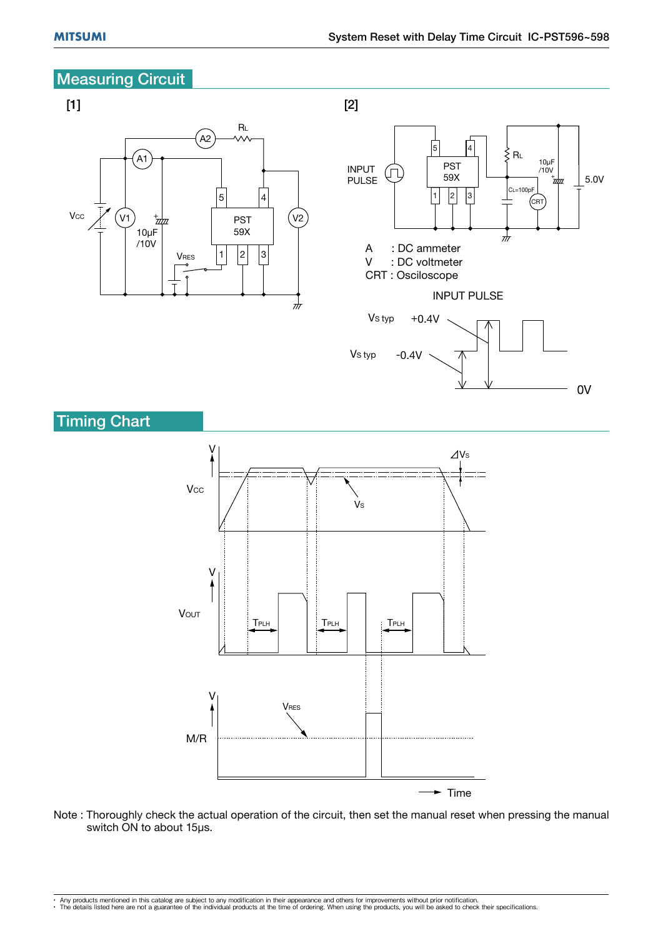## **Measuring Circuit**



Note : Thoroughly check the actual operation of the circuit, then set the manual reset when pressing the manual switch ON to about 15μs.

 $\blacktriangleright$  Time